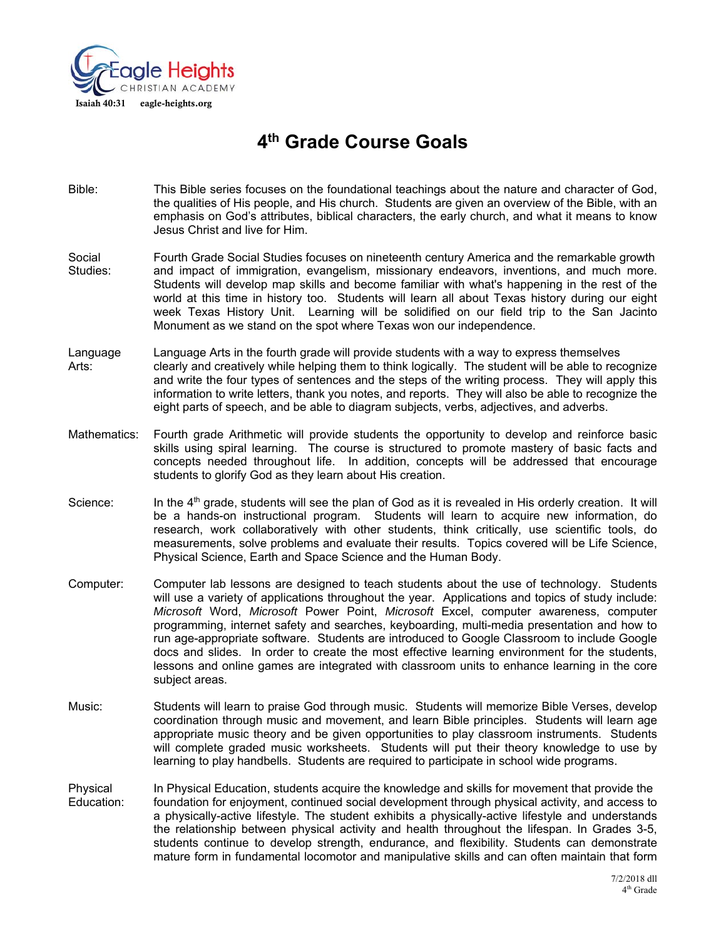

# **4th Grade Course Goals**

- Bible: This Bible series focuses on the foundational teachings about the nature and character of God, the qualities of His people, and His church. Students are given an overview of the Bible, with an emphasis on God's attributes, biblical characters, the early church, and what it means to know Jesus Christ and live for Him.
- Social Fourth Grade Social Studies focuses on nineteenth century America and the remarkable growth Studies: and impact of immigration, evangelism, missionary endeavors, inventions, and much more. Students will develop map skills and become familiar with what's happening in the rest of the world at this time in history too. Students will learn all about Texas history during our eight week Texas History Unit. Learning will be solidified on our field trip to the San Jacinto Monument as we stand on the spot where Texas won our independence.
- Language Language Arts in the fourth grade will provide students with a way to express themselves Arts: clearly and creatively while helping them to think logically. The student will be able to recognize and write the four types of sentences and the steps of the writing process. They will apply this information to write letters, thank you notes, and reports. They will also be able to recognize the eight parts of speech, and be able to diagram subjects, verbs, adjectives, and adverbs.
- Mathematics: Fourth grade Arithmetic will provide students the opportunity to develop and reinforce basic skills using spiral learning. The course is structured to promote mastery of basic facts and concepts needed throughout life. In addition, concepts will be addressed that encourage students to glorify God as they learn about His creation.
- Science: In the 4<sup>th</sup> grade, students will see the plan of God as it is revealed in His orderly creation. It will be a hands-on instructional program. Students will learn to acquire new information, do research, work collaboratively with other students, think critically, use scientific tools, do measurements, solve problems and evaluate their results. Topics covered will be Life Science, Physical Science, Earth and Space Science and the Human Body.
- Computer: Computer lab lessons are designed to teach students about the use of technology. Students will use a variety of applications throughout the year. Applications and topics of study include: *Microsoft* Word, *Microsoft* Power Point, *Microsoft* Excel, computer awareness, computer programming, internet safety and searches, keyboarding, multi-media presentation and how to run age-appropriate software. Students are introduced to Google Classroom to include Google docs and slides. In order to create the most effective learning environment for the students, lessons and online games are integrated with classroom units to enhance learning in the core subject areas.
- Music: Students will learn to praise God through music. Students will memorize Bible Verses, develop coordination through music and movement, and learn Bible principles. Students will learn age appropriate music theory and be given opportunities to play classroom instruments. Students will complete graded music worksheets. Students will put their theory knowledge to use by learning to play handbells. Students are required to participate in school wide programs.
- Physical In Physical Education, students acquire the knowledge and skills for movement that provide the Education: foundation for enjoyment, continued social development through physical activity, and access to a physically-active lifestyle. The student exhibits a physically-active lifestyle and understands the relationship between physical activity and health throughout the lifespan. In Grades 3-5, students continue to develop strength, endurance, and flexibility. Students can demonstrate mature form in fundamental locomotor and manipulative skills and can often maintain that form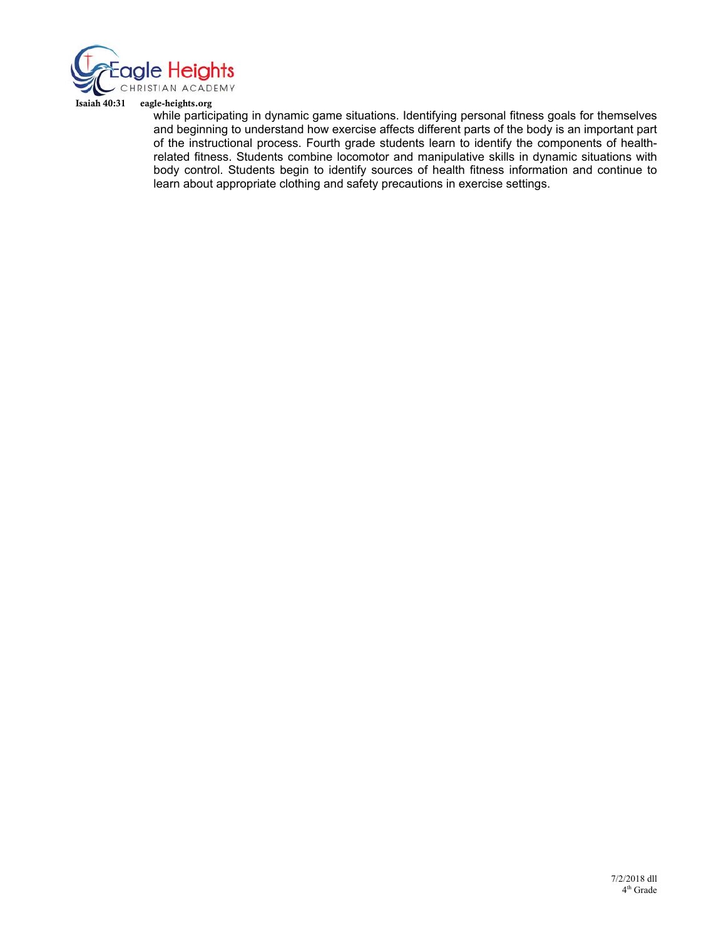

Isaiah 40:31 eagle-heights.org

while participating in dynamic game situations. Identifying personal fitness goals for themselves and beginning to understand how exercise affects different parts of the body is an important part of the instructional process. Fourth grade students learn to identify the components of healthrelated fitness. Students combine locomotor and manipulative skills in dynamic situations with body control. Students begin to identify sources of health fitness information and continue to learn about appropriate clothing and safety precautions in exercise settings.